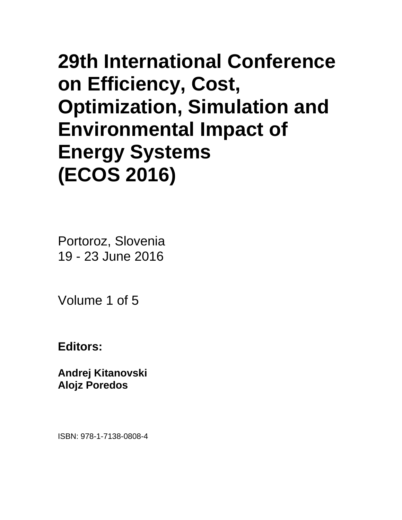# • **29th International Conference on Efficiency, Cost, Optimization, Simulation and Environmental Impact of Energy Systems (ECOS 2016)**

Portoroz, Slovenia 19 - 23 June 2016

Volume 1 of 5

**Editors:**

**Andrej Kitanovski Alojz Poredos**

ISBN: 978-1-7138-0808-4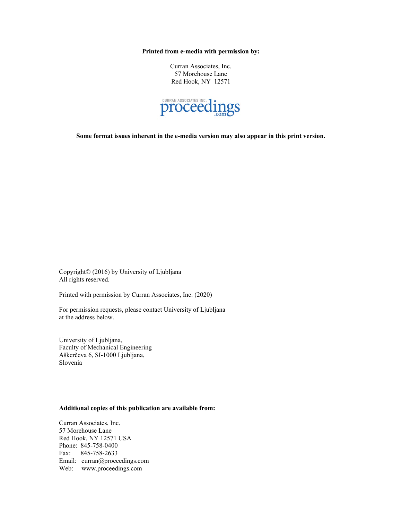**Printed from e-media with permission by:**

Curran Associates, Inc. 57 Morehouse Lane Red Hook, NY 12571



**Some format issues inherent in the e-media version may also appear in this print version.**

Copyright© (2016) by University of Ljubljana All rights reserved.

Printed with permission by Curran Associates, Inc. (2020)

For permission requests, please contact University of Ljubljana at the address below.

University of Ljubljana, Faculty of Mechanical Engineering Aškerčeva 6, SI-1000 Ljubljana, Slovenia

### **Additional copies of this publication are available from:**

Curran Associates, Inc. 57 Morehouse Lane Red Hook, NY 12571 USA Phone: 845-758-0400 Fax: 845-758-2633 Email: curran@proceedings.com Web: www.proceedings.com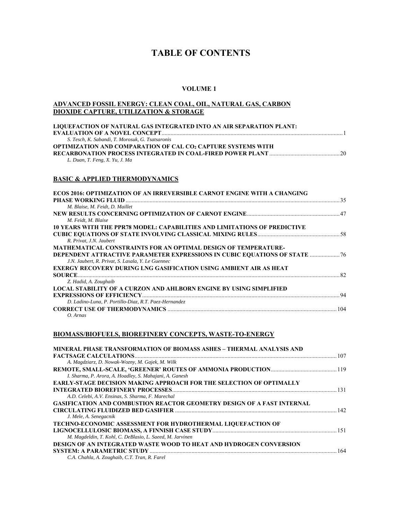# **TABLE OF CONTENTS**

#### **VOLUME 1**

#### **ADVANCED FOSSIL ENERGY: CLEAN COAL, OIL, NATURAL GAS, CARBON DIOXIDE CAPTURE, UTILIZATION & STORAGE**

| LIQUEFACTION OF NATURAL GAS INTEGRATED INTO AN AIR SEPARATION PLANT: |  |
|----------------------------------------------------------------------|--|
|                                                                      |  |
| S. Tesch, K. Sabandi, T. Morosuk, G. Tsatsaronis                     |  |
| <b>OPTIMIZATION AND COMPARATION OF CAL CO2 CAPTURE SYSTEMS WITH</b>  |  |
|                                                                      |  |
| L. Duan, T. Feng, X. Yu, J. Ma                                       |  |

#### **BASIC & APPLIED THERMODYNAMICS**

| <b>ECOS 2016: OPTIMIZATION OF AN IRREVERSIBLE CARNOT ENGINE WITH A CHANGING</b>   |  |
|-----------------------------------------------------------------------------------|--|
|                                                                                   |  |
| M. Blaise, M. Feidt, D. Maillet                                                   |  |
|                                                                                   |  |
| M. Feidt, M. Blaise                                                               |  |
| 10 YEARS WITH THE PPR78 MODEL: CAPABILITIES AND LIMITATIONS OF PREDICTIVE         |  |
|                                                                                   |  |
| R. Privat, J.N. Jaubert                                                           |  |
| MATHEMATICAL CONSTRAINTS FOR AN OPTIMAL DESIGN OF TEMPERATURE-                    |  |
| <b>DEPENDENT ATTRACTIVE PARAMETER EXPRESSIONS IN CUBIC EQUATIONS OF STATE  76</b> |  |
| J.N. Jaubert, R. Privat, S. Lasala, Y. Le Guennec                                 |  |
| <b>EXERGY RECOVERY DURING LNG GASIFICATION USING AMBIENT AIR AS HEAT</b>          |  |
| <b>SOURCE</b>                                                                     |  |
| Z. Hadid, A. Zoughaib                                                             |  |
| <b>LOCAL STABILITY OF A CURZON AND AHLBORN ENGINE BY USING SIMPLIFIED</b>         |  |
|                                                                                   |  |
| D. Ladino-Luna, P. Portillo-Diaz, R.T. Paez-Hernandez                             |  |
|                                                                                   |  |
| O. Arnas                                                                          |  |

### **BIOMASS/BIOFUELS, BIOREFINERY CONCEPTS, WASTE-TO-ENERGY**

| <b>MINERAL PHASE TRANSFORMATION OF BIOMASS ASHES - THERMAL ANALYSIS AND</b>   |  |
|-------------------------------------------------------------------------------|--|
|                                                                               |  |
| A. Magdziarz, D. Nowak-Wozny, M. Gajek, M. Wilk                               |  |
|                                                                               |  |
| I. Sharma, P. Arora, A. Hoadley, S. Mahajani, A. Ganesh                       |  |
| <b>EARLY-STAGE DECISION MAKING APPROACH FOR THE SELECTION OF OPTIMALLY</b>    |  |
|                                                                               |  |
| A.D. Celebi, A.V. Ensinas, S. Sharma, F. Marechal                             |  |
| <b>GASIFICATION AND COMBUSTION REACTOR GEOMETRY DESIGN OF A FAST INTERNAL</b> |  |
|                                                                               |  |
| J. Mele, A. Senegacnik                                                        |  |
| TECHNO-ECONOMIC ASSESSMENT FOR HYDROTHERMAL LIQUEFACTION OF                   |  |
|                                                                               |  |
| M. Magdeldin, T. Kohl, C. DeBlasio, L. Saeed, M. Jarvinen                     |  |
| DESIGN OF AN INTEGRATED WASTE WOOD TO HEAT AND HYDROGEN CONVERSION            |  |
|                                                                               |  |
| C.A. Chahla, A. Zoughaib, C.T. Tran, R. Farel                                 |  |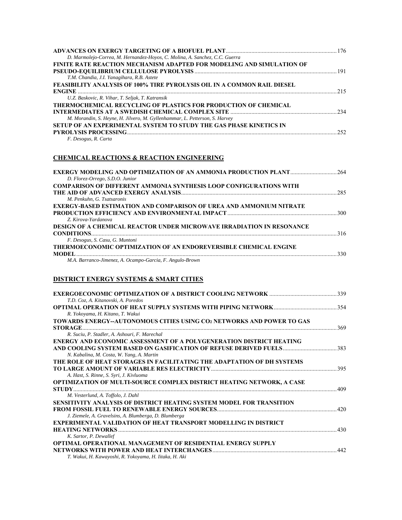| D. Marmolejo-Correa, M. Hernandez-Hoyos, C. Molina, A. Sanchez, C.C. Guerra |     |
|-----------------------------------------------------------------------------|-----|
| FINITE RATE REACTION MECHANISM ADAPTED FOR MODELING AND SIMULATION OF       |     |
|                                                                             |     |
| T.M. Chandia, J.I. Yanagihara, R.B. Astete                                  |     |
| FEASIBILITY ANALYSIS OF 100% TIRE PYROLYSIS OIL IN A COMMON RAIL DIESEL     |     |
|                                                                             |     |
| U.Z. Baskovic, R. Vihar, T. Seljak, T. Katransik                            |     |
| <b>THERMOCHEMICAL RECYCLING OF PLASTICS FOR PRODUCTION OF CHEMICAL</b>      |     |
|                                                                             |     |
| M. Morandin, S. Heyne, H. Jilvero, M. Gyllenhammar, L. Petterson, S. Harvey |     |
| SETUP OF AN EXPERIMENTAL SYSTEM TO STUDY THE GAS PHASE KINETICS IN          |     |
| PYROLYSIS PROCESSING                                                        | 252 |
| F. Desogus, R. Carta                                                        |     |

# **CHEMICAL REACTIONS & REACTION ENGINEERING**

| EXERGY MODELING AND OPTIMIZATION OF AN AMMONIA PRODUCTION PLANT264           |  |
|------------------------------------------------------------------------------|--|
| D. Florez-Orrego, S.D.O. Junior                                              |  |
| <b>COMPARISON OF DIFFERENT AMMONIA SYNTHESIS LOOP CONFIGURATIONS WITH</b>    |  |
|                                                                              |  |
| M. Penkuhn, G. Tsatsaronis                                                   |  |
| <b>EXERGY-BASED ESTIMATION AND COMPARISON OF UREA AND AMMONIUM NITRATE</b>   |  |
|                                                                              |  |
| Z. Kirova-Yardanova                                                          |  |
| <b>DESIGN OF A CHEMICAL REACTOR UNDER MICROWAVE IRRADIATION IN RESONANCE</b> |  |
| <b>CONDITIONS</b>                                                            |  |
| F. Desogus, S. Casu, G. Muntoni                                              |  |
| <b>THERMOECONOMIC OPTIMIZATION OF AN ENDOREVERSIBLE CHEMICAL ENGINE</b>      |  |
|                                                                              |  |
| M.A. Barranco-Jimenez, A. Ocampo-Garcia, F. Angulo-Brown                     |  |

# **DISTRICT ENERGY SYSTEMS & SMART CITIES**

| T.D. Coz. A. Kitanovski, A. Poredos                                        |     |
|----------------------------------------------------------------------------|-----|
| R. Yokoyama, H. Kitano, T. Wakui                                           |     |
| TOWARDS ENERGY--AUTONOMOUS CITIES USING CO2 NETWORKS AND POWER TO GAS      |     |
| <b>STORAGE</b>                                                             | 369 |
| R. Suciu, P. Stadler, A. Ashouri, F. Marechal                              |     |
| <b>ENERGY AND ECONOMIC ASSESSMENT OF A POLYGENERATION DISTRICT HEATING</b> |     |
|                                                                            |     |
| N. Kabalina, M. Costa, W. Yang, A. Martin                                  |     |
| THE ROLE OF HEAT STORAGES IN FACILITATING THE ADAPTATION OF DH SYSTEMS     |     |
|                                                                            | 395 |
| A. Hast, S. Rinne, S. Syri, J. Kivluoma                                    |     |
| OPTIMIZATION OF MULTI-SOURCE COMPLEX DISTRICT HEATING NETWORK, A CASE      |     |
| STUDY                                                                      | 409 |
| M. Vesterlund, A. Toffolo, J. Dahl                                         |     |
| SENSITIVITY ANALYSIS OF DISTRICT HEATING SYSTEM MODEL FOR TRANSITION       |     |
|                                                                            | 420 |
| J. Ziemele, A. Gravelsins, A. Blumberga, D. Blumberga                      |     |
| <b>EXPERIMENTAL VALIDATION OF HEAT TRANSPORT MODELLING IN DISTRICT</b>     |     |
| <b>HEATING NETWORKS</b>                                                    | 430 |
| K. Sartor, P. Dewallef                                                     |     |
| <b>OPTIMAL OPERATIONAL MANAGEMENT OF RESIDENTIAL ENERGY SUPPLY</b>         |     |
|                                                                            | 442 |
| T. Wakui, H. Kawayoshi, R. Yokoyama, H. Iitaka, H. Aki                     |     |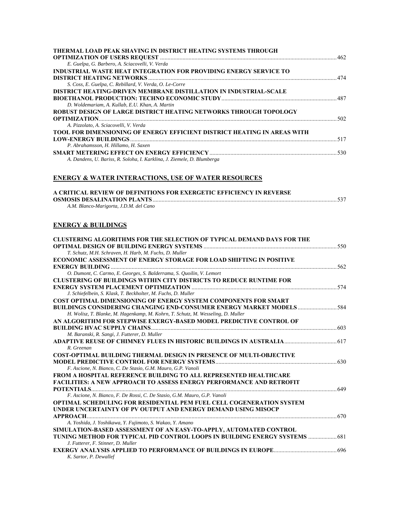# **ENERGY & WATER INTERACTIONS, USE OF WATER RESOURCES**

| A CRITICAL REVIEW OF DEFINITIONS FOR EXERGETIC EFFICIENCY IN REVERSE |                |
|----------------------------------------------------------------------|----------------|
|                                                                      | $\ldots$ . 537 |
| A.M. Blanco-Marigorta, J.D.M. del Cano                               |                |

# **ENERGY & BUILDINGS**

| <b>CLUSTERING ALGORITHMS FOR THE SELECTION OF TYPICAL DEMAND DAYS FOR THE</b>    |       |
|----------------------------------------------------------------------------------|-------|
|                                                                                  | - 550 |
| T. Schutz, M.H. Schraven, H. Harb, M. Fuchs, D. Muller                           |       |
| <b>ECONOMIC ASSESSMENT OF ENERGY STORAGE FOR LOAD SHIFTING IN POSITIVE</b>       |       |
|                                                                                  |       |
| O. Dumont, C. Carmo, E. Georges, S. Balderrama, S. Quoilin, V. Lemort            |       |
| <b>CLUSTERING OF BUILDINGS WITHIN CITY DISTRICTS TO REDUCE RUNTIME FOR</b>       |       |
|                                                                                  |       |
| J. Schiefelbein, S. Klask, T. Beckholter, M. Fuchs, D. Muller                    |       |
| <b>COST OPTIMAL DIMENSIONING OF ENERGY SYSTEM COMPONENTS FOR SMART</b>           |       |
|                                                                                  |       |
| H. Wolisz, T. Blanke, M. Hagenkamp, M. Kohrn, T. Schutz, M. Wesseling, D. Muller |       |
| AN ALGORITHM FOR STEPWISE EXERGY-BASED MODEL PREDICTIVE CONTROL OF               |       |
|                                                                                  |       |
| M. Baranski, R. Sangi, J. Futterer, D. Muller                                    |       |
|                                                                                  |       |
| R. Greenan                                                                       |       |
| <b>COST-OPTIMAL BUILDING THERMAL DESIGN IN PRESENCE OF MULTI-OBJECTIVE</b>       |       |
|                                                                                  |       |
| F. Ascione, N. Bianco, C. De Stasio, G.M. Mauro, G.P. Vanoli                     |       |
| <b>FROM A HOSPITAL REFERENCE BUILDING TO ALL REPRESENTED HEALTHCARE</b>          |       |
| <b>FACILITIES: A NEW APPROACH TO ASSESS ENERGY PERFORMANCE AND RETROFIT</b>      |       |
| $\cdots$ 649                                                                     |       |
| F. Ascione, N. Bianco, F. De Rossi, C. De Stasio, G.M. Mauro, G.P. Vanoli        |       |
| <b>OPTIMAL SCHEDULING FOR RESIDENTIAL PEM FUEL CELL COGENERATION SYSTEM</b>      |       |
| UNDER UNCERTAINTY OF PV OUTPUT AND ENERGY DEMAND USING MISOCP                    |       |
|                                                                                  | .670  |
| A. Yoshida, J. Yoshikawa, Y. Fujimoto, S. Wakao, Y. Amano                        |       |
| SIMULATION-BASED ASSESSMENT OF AN EASY-TO-APPLY, AUTOMATED CONTROL               |       |
| TUNING METHOD FOR TYPICAL PID CONTROL LOOPS IN BUILDING ENERGY SYSTEMS           | 681   |
| J. Futterer, F. Stinner, D. Muller                                               |       |
|                                                                                  |       |
| K. Sartor, P. Dewallef                                                           |       |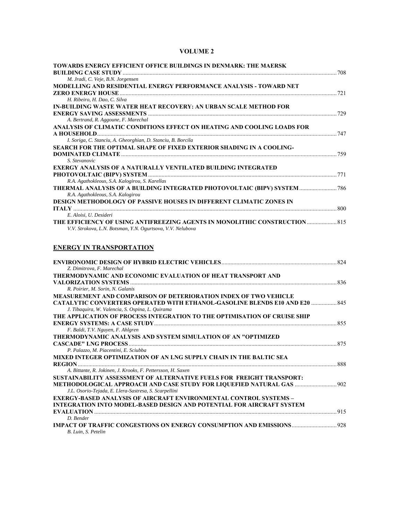| TOWARDS ENERGY EFFICIENT OFFICE BUILDINGS IN DENMARK: THE MAERSK<br>M. Jradi, C. Veje, B.N. Jorgensen                                  |  |
|----------------------------------------------------------------------------------------------------------------------------------------|--|
| MODELLING AND RESIDENTIAL ENERGY PERFORMANCE ANALYSIS - TOWARD NET                                                                     |  |
| H. Ribeiro, H. Dao, C. Silva                                                                                                           |  |
| IN-BUILDING WASTE WATER HEAT RECOVERY: AN URBAN SCALE METHOD FOR                                                                       |  |
| A. Bertrand, R. Aggoune, F. Marechal                                                                                                   |  |
| ANALYSIS OF CLIMATIC CONDITIONS EFFECT ON HEATING AND COOLING LOADS FOR                                                                |  |
| I. Soriga, C. Stanciu, A. Gheorghian, D. Stanciu, B. Borcila                                                                           |  |
| SEARCH FOR THE OPTIMAL SHAPE OF FIXED EXTERIOR SHADING IN A COOLING-<br><b>DOMINATED CLIMATE</b> 259                                   |  |
| S. Stevanovic                                                                                                                          |  |
| <b>EXERGY ANALYSIS OF A NATURALLY VENTILATED BUILDING INTEGRATED</b>                                                                   |  |
|                                                                                                                                        |  |
| R.A. Agathokleous, S.A. Kalogirou, S. Karellas                                                                                         |  |
| THERMAL ANALYSIS OF A BUILDING INTEGRATED PHOTOVOLTAIC (BIPV) SYSTEM  786<br>R.A. Agathokleous, S.A. Kalogirou                         |  |
| DESIGN METHODOLOGY OF PASSIVE HOUSES IN DIFFERENT CLIMATIC ZONES IN                                                                    |  |
| E. Aloisi, U. Desideri                                                                                                                 |  |
|                                                                                                                                        |  |
| V.V. Strokova, L.N. Botsman, Y.N. Ogurtsova, V.V. Nelubova                                                                             |  |
| <b>ENERGY IN TRANSPORTATION</b>                                                                                                        |  |
| Z. Dimitrova, F. Marechal                                                                                                              |  |
| THERMODYNAMIC AND ECONOMIC EVALUATION OF HEAT TRANSPORT AND                                                                            |  |
| R. Poirier, M. Sorin, N. Galanis                                                                                                       |  |
| <b>MEASUREMENT AND COMPARISON OF DETERIORATION INDEX OF TWO VEHICLE</b>                                                                |  |
| <b>CATALYTIC CONVERTERS OPERATED WITH ETHANOL-GASOLINE BLENDS E10 AND E20  845</b><br>J. Tibaquira, W. Valencia, S. Ospina, L. Quirama |  |
| THE APPLICATION OF PROCESS INTEGRATION TO THE OPTIMISATION OF CRUISE SHIP                                                              |  |
| F. Baldi, T.V. Nguyen, F. Ahlgren                                                                                                      |  |
| THERMODYNAMIC ANALYSIS AND SYSTEM SIMULATION OF AN "OPTIMIZED                                                                          |  |
| P. Palazzo, M. Piacentini, E. Sciubba                                                                                                  |  |
| MIXED INTEGER OPTIMIZATION OF AN LNG SUPPLY CHAIN IN THE BALTIC SEA                                                                    |  |
|                                                                                                                                        |  |
| A. Bittante, R. Jokinen, J. Krooks, F. Pettersson, H. Saxen                                                                            |  |
| SUSTAINABILITY ASSESSMENT OF ALTERNATIVE FUELS FOR FREIGHT TRANSPORT:                                                                  |  |
| J.L. Osorio-Tejada, E. Llera-Sastresa, S. Scarpellini                                                                                  |  |
| <b>EXERGY-BASED ANALYSIS OF AIRCRAFT ENVIRONMENTAL CONTROL SYSTEMS -</b>                                                               |  |
| INTEGRATION INTO MODEL-BASED DESIGN AND POTENTIAL FOR AIRCRAFT SYSTEM                                                                  |  |
|                                                                                                                                        |  |
| D. Bender                                                                                                                              |  |
| B. Luin, S. Petelin                                                                                                                    |  |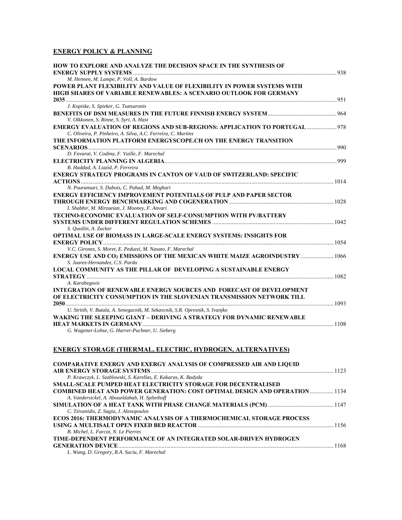## **ENERGY POLICY & PLANNING**

| HOW TO EXPLORE AND ANALYZE THE DECISION SPACE IN THE SYNTHESIS OF                                             |      |
|---------------------------------------------------------------------------------------------------------------|------|
| M. Hennen, M. Lampe, P. Voll, A. Bardow                                                                       | .938 |
| POWER PLANT FLEXIBILITY AND VALUE OF FLEXIBILITY IN POWER SYSTEMS WITH                                        |      |
| HIGH SHARES OF VARIABLE RENEWABLES: A SCENARIO OUTLOOK FOR GERMANY                                            |      |
| 051                                                                                                           |      |
| J. Kopiske, S. Spieker, G. Tsatsaronis                                                                        |      |
|                                                                                                               |      |
| V. Olkkonen, S. Rinne, S. Syri, A. Hast                                                                       |      |
| <b>EMERGY EVALUATION OF REGIONS AND SUB-REGIONS: APPLICATION TO PORTUGAL </b> 978                             |      |
| C. Oliveira, P. Pinheiro, A. Silva, A.C. Ferreira, C. Martins                                                 |      |
| THE INFORMATION PLATFORM ENERGYSCOPE.CH ON THE ENERGY TRANSITION                                              |      |
|                                                                                                               |      |
| D. Favarat, V. Codina, F. Vuille, F. Marechal                                                                 |      |
| B. Haddad, A. Liazid, P. Ferreira                                                                             |      |
| ENERGY STRATEGY PROGRAMS IN CANTON OF VAUD OF SWITZERLAND: SPECIFIC                                           |      |
|                                                                                                               |      |
| N. Pouransari, S. Dubois, C. Pahud, M. Meghari                                                                |      |
| <b>ENERGY EFFICIENCY IMPROVEMENT POTENTIALS OF PULP AND PAPER SECTOR</b>                                      |      |
|                                                                                                               |      |
| I. Shabbir, M. Mirzaeian, J. Mooney, F. Anvari                                                                |      |
| <b>TECHNO-ECONOMIC EVALUATION OF SELF-CONSUMPTION WITH PV/BATTERY</b>                                         |      |
|                                                                                                               |      |
| S. Quoilin, A. Zucker                                                                                         |      |
| <b>OPTIMAL USE OF BIOMASS IN LARGE-SCALE ENERGY SYSTEMS: INSIGHTS FOR</b>                                     |      |
|                                                                                                               |      |
| V.C. Girones, S. Moret, E. Peduzzi, M. Nasato, F. Marechal                                                    |      |
| ENERGY USE AND CO2 EMISSIONS OF THE MEXICAN WHITE MAIZE AGROINDUSTRY  1066<br>S. Juarez-Hernandez, C.S. Pardo |      |
| <b>LOCAL COMMUNITY AS THE PILLAR OF DEVELOPING A SUSTAINABLE ENERGY</b>                                       |      |
| 1082                                                                                                          |      |
| A. Karabegovic                                                                                                |      |
| <b>INTEGRATION OF RENEWABLE ENERGY SOURCES AND FORECAST OF DEVELOPMENT</b>                                    |      |
| OF ELECTRICITY CONSUMPTION IN THE SLOVENIAN TRANSMISSION NETWORK TILL                                         |      |
|                                                                                                               |      |
| U. Stritih, V. Butala, A. Senegacnik, M. Sekavcnik, S.R. Opresnik, S. Ivanjko                                 |      |
| WAKING THE SLEEPING GIANT - DERIVING A STRATEGY FOR DYNAMIC RENEWABLE                                         |      |
|                                                                                                               |      |
| G. Wagener-Lohse, G. Harrer-Puchner, U. Sieberg                                                               |      |

### **ENERGY STORAGE (THERMAL, ELECTRIC, HYDROGEN, ALTERNATIVES)**

| <b>COMPARATIVE ENERGY AND EXERGY ANALYSIS OF COMPRESSED AIR AND LIQUID</b>   |  |
|------------------------------------------------------------------------------|--|
|                                                                              |  |
| P. Krawczyk, L. Szablowski, S. Karellas, E. Kakaras, K. Badyda               |  |
| <b>SMALL-SCALE PUMPED HEAT ELECTRICITY STORAGE FOR DECENTRALISED</b>         |  |
| COMBINED HEAT AND POWER GENERATION: COST OPTIMAL DESIGN AND OPERATION 1134   |  |
| A. Vandersickel, A. Aboueldahab, H. Spliethoff                               |  |
|                                                                              |  |
| C. Tzivanidis, Z. Sagia, J. Alexopoulos                                      |  |
| <b>ECOS 2016: THERMODYNAMIC ANALYSIS OF A THERMOCHEMICAL STORAGE PROCESS</b> |  |
|                                                                              |  |
| B. Michel. L. Farcot. N. Le Pierres                                          |  |
| TIME-DEPENDENT PERFORMANCE OF AN INTEGRATED SOLAR-DRIVEN HYDROGEN            |  |
|                                                                              |  |
| L. Wang, D. Gregory, R.A. Suciu, F. Marechal                                 |  |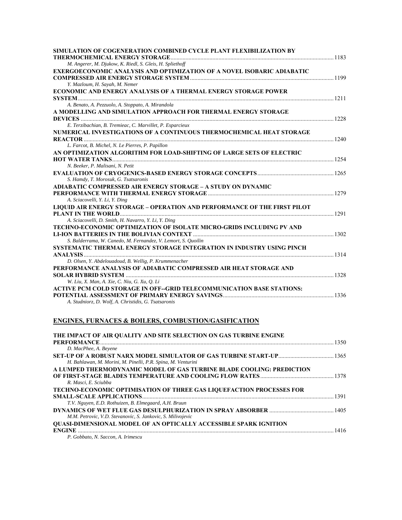| SIMULATION OF COGENERATION COMBINED CYCLE PLANT FLEXIBILIZATION BY                                                |  |
|-------------------------------------------------------------------------------------------------------------------|--|
| M. Angerer, M. Djukow, K. Riedl, S. Gleis, H. Spliethoff                                                          |  |
| EXERGOECONOMIC ANALYSIS AND OPTIMIZATION OF A NOVEL ISOBARIC ADIABATIC                                            |  |
|                                                                                                                   |  |
| Y. Mazloum, H. Sayah, M. Nemer                                                                                    |  |
| ECONOMIC AND ENERGY ANALYSIS OF A THERMAL ENERGY STORAGE POWER                                                    |  |
|                                                                                                                   |  |
| A. Benato, A. Pezzuolo, A. Stoppato, A. Mirandola                                                                 |  |
| A MODELLING AND SIMULATION APPROACH FOR THERMAL ENERGY STORAGE                                                    |  |
|                                                                                                                   |  |
| E. Terzibachian, B. Tremieac, C. Marvillet, P. Esparcieux                                                         |  |
| NUMERICAL INVESTIGATIONS OF A CONTINUOUS THERMOCHEMICAL HEAT STORAGE                                              |  |
| 1240                                                                                                              |  |
| L. Farcot, B. Michel, N. Le Pierres, P. Papillon                                                                  |  |
| AN OPTIMIZATION ALGORITHM FOR LOAD-SHIFTING OF LARGE SETS OF ELECTRIC                                             |  |
|                                                                                                                   |  |
| N. Beeker, P. Malisani, N. Petit                                                                                  |  |
|                                                                                                                   |  |
| S. Hamdy, T. Morosuk, G. Tsatsaronis                                                                              |  |
| ADIABATIC COMPRESSED AIR ENERGY STORAGE – A STUDY ON DYNAMIC                                                      |  |
|                                                                                                                   |  |
| A. Sciacovelli, Y. Li, Y. Ding<br><b>LIQUID AIR ENERGY STORAGE – OPERATION AND PERFORMANCE OF THE FIRST PILOT</b> |  |
|                                                                                                                   |  |
| A. Sciacovelli, D. Smith, H. Navarro, Y. Li, Y. Ding                                                              |  |
| TECHNO-ECONOMIC OPTIMIZATION OF ISOLATE MICRO-GRIDS INCLUDING PV AND                                              |  |
|                                                                                                                   |  |
| S. Balderrama, W. Canedo, M. Fernandez, V. Lemort, S. Quoilin                                                     |  |
| SYSTEMATIC THERMAL ENERGY STORAGE INTEGRATION IN INDUSTRY USING PINCH                                             |  |
|                                                                                                                   |  |
| D. Olsen, Y. Abdelouadoud, B. Wellig, P. Krummenacher                                                             |  |
| PERFORMANCE ANALYSIS OF ADIABATIC COMPRESSED AIR HEAT STORAGE AND                                                 |  |
|                                                                                                                   |  |
| W. Liu, X. Man, A. Xie, C. Niu, G. Xu, Q. Li                                                                      |  |
| <b>ACTIVE PCM COLD STORAGE IN OFF--GRID TELECOMMUNICATION BASE STATIONS:</b>                                      |  |
|                                                                                                                   |  |
| A. Studniorz, D. Wolf, A. Christidis, G. Tsatsaronis                                                              |  |
|                                                                                                                   |  |

# **ENGINES, FURNACES & BOILERS, COMBUSTION/GASIFICATION**

| THE IMPACT OF AIR QUALITY AND SITE SELECTION ON GAS TURBINE ENGINE                                                                                                                                                                  |  |
|-------------------------------------------------------------------------------------------------------------------------------------------------------------------------------------------------------------------------------------|--|
| <b>PERFORMANCE</b> [1350] [1350] [1350] [1350] [1350] [1350] [1350] [1350] [1350] [1350] [1350] [1350] [1350] [1350] [1350] [1350] [1350] [1350] [1350] [1350] [1350] [1350] [1350] [1350] [1350] [1350] [1350] [1350] [1350] [1350 |  |
| D. MacPhee, A. Beyene                                                                                                                                                                                                               |  |
|                                                                                                                                                                                                                                     |  |
| H. Bahlawan, M. Morini, M. Pinelli, P.R. Spina, M. Venturini                                                                                                                                                                        |  |
| A LUMPED THERMODYNAMIC MODEL OF GAS TURBINE BLADE COOLING: PREDICTION                                                                                                                                                               |  |
|                                                                                                                                                                                                                                     |  |
| R. Masci, E. Sciubba                                                                                                                                                                                                                |  |
| <b>TECHNO-ECONOMIC OPTIMISATION OF THREE GAS LIQUEFACTION PROCESSES FOR</b>                                                                                                                                                         |  |
|                                                                                                                                                                                                                                     |  |
| T.V. Nguyen, E.D. Rothuizen, B. Elmegaard, A.H. Bruun                                                                                                                                                                               |  |
|                                                                                                                                                                                                                                     |  |
| M.M. Petrovic, V.D. Stevanovic, S. Jankovic, S. Milivojevic                                                                                                                                                                         |  |
| <b>QUASI-DIMENSIONAL MODEL OF AN OPTICALLY ACCESSIBLE SPARK IGNITION</b>                                                                                                                                                            |  |
| <b>ENGINE</b>                                                                                                                                                                                                                       |  |
| P. Gobbato, N. Saccon, A. Irimescu                                                                                                                                                                                                  |  |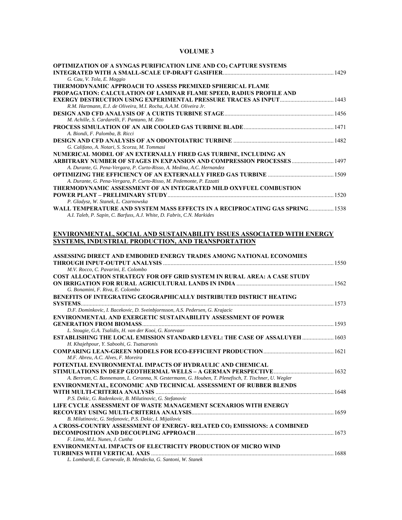| OPTIMIZATION OF A SYNGAS PURIFICATION LINE AND CO2 CAPTURE SYSTEMS                                                                     |  |
|----------------------------------------------------------------------------------------------------------------------------------------|--|
| G. Cau, V. Tola, E. Maggio                                                                                                             |  |
| THERMODYNAMIC APPROACH TO ASSESS PREMIXED SPHERICAL FLAME                                                                              |  |
| PROPAGATION: CALCULATION OF LAMINAR FLAME SPEED, RADIUS PROFILE AND                                                                    |  |
|                                                                                                                                        |  |
| R.M. Hartmann, E.J. de Oliveira, M.I. Rocha, A.A.M. Oliveira Jr.                                                                       |  |
|                                                                                                                                        |  |
| M. Achille, S. Cardarelli, F. Pantano, M. Zito                                                                                         |  |
|                                                                                                                                        |  |
| A. Biondi, F. Palomba, B. Ricci                                                                                                        |  |
| G. Califano, A. Notari, S. Scorza, M. Tommasi                                                                                          |  |
| NUMERICAL MODEL OF AN EXTERNALLY FIRED GAS TURBINE, INCLUDING AN                                                                       |  |
| ARBITRARY NUMBER OF STAGES IN EXPANSION AND COMPRESSION PROCESSES  1497                                                                |  |
| A. Durante, G. Pena-Vergara, P. Curto-Risso, A. Medina, A.C. Hernandez                                                                 |  |
|                                                                                                                                        |  |
| A. Durante, G. Pena-Vergara, P. Curto-Risso, M. Pedemonte, P. Ezzatti                                                                  |  |
| THERMODYNAMIC ASSESSMENT OF AN INTEGRATED MILD OXYFUEL COMBUSTION                                                                      |  |
|                                                                                                                                        |  |
| P. Gladysz, W. Stanek, L. Czarnowska                                                                                                   |  |
| WALL TEMPERATURE AND SYSTEM MASS EFFECTS IN A RECIPROCATING GAS SPRING 1538                                                            |  |
| A.I. Taleb, P. Sapin, C. Barfuss, A.J. White, D. Fabris, C.N. Markides                                                                 |  |
|                                                                                                                                        |  |
| ENVIRONMENTAL, SOCIAL AND SUSTAINABILITY ISSUES ASSOCIATED WITH ENERGY                                                                 |  |
| SYSTEMS, INDUSTRIAL PRODUCTION, AND TRANSPORTATION                                                                                     |  |
| ASSESSING DIRECT AND EMBODIED ENERGY TRADES AMONG NATIONAL ECONOMIES                                                                   |  |
|                                                                                                                                        |  |
| M.V. Rocco, C. Pavarini, E. Colombo                                                                                                    |  |
| COST ALLOCATION STRATEGY FOR OFF GRID SYSTEM IN RURAL AREA: A CASE STUDY                                                               |  |
|                                                                                                                                        |  |
| G. Bonamini, F. Riva, E. Colombo                                                                                                       |  |
| <b>BENEFITS OF INTEGRATING GEOGRAPHICALLY DISTRIBUTED DISTRICT HEATING</b>                                                             |  |
|                                                                                                                                        |  |
| D.F. Dominkovic, I. Bacekovic, D. Sveinbjornsson, A.S. Pedersen, G. Krajacic                                                           |  |
| ENVIRONMENTAL AND EXERGETIC SUSTAINABILITY ASSESSMENT OF POWER                                                                         |  |
|                                                                                                                                        |  |
| L. Stougie, G.A. Tsalidis, H. van der Kooi, G. Korevaar<br>ESTABLISHING THE LOCAL EMISSION STANDARD LEVEL: THE CASE OF ASSALUYEH  1603 |  |
| H. Khajehpour, Y. Saboohi, G. Tsatsaronis                                                                                              |  |
|                                                                                                                                        |  |
| M.F. Abreu, A.C. Alves, F. Moreira                                                                                                     |  |
| POTENTIAL ENVIRONMENTAL IMPACTS OF HYDRAULIC AND CHEMICAL                                                                              |  |
|                                                                                                                                        |  |
| A. Bertram, C. Bonnemann, L. Ceranna, N. Gestermann, G. Houben, T. Plenefisch, T. Tischner, U. Wegler                                  |  |
| ENVIRONMENTAL, ECONOMIC AND TECHNICAL ASSESSMENT OF RUBBER BLENDS                                                                      |  |
|                                                                                                                                        |  |
| P.S. Dekic, G. Radenkovic, B. Milutinovic, G. Stefanovic                                                                               |  |
| LIFE CYCLE ASSESSMENT OF WASTE MANAGEMENT SCENARIOS WITH ENERGY                                                                        |  |
|                                                                                                                                        |  |
| B. Milutinovic, G. Stefanovic, P.S. Dekic, I. Mijailovic                                                                               |  |
| A CROSS-COUNTRY ASSESSMENT OF ENERGY- RELATED CO2 EMISSIONS: A COMBINED                                                                |  |
|                                                                                                                                        |  |
| F. Lima, M.L. Nunes, J. Cunha<br>ENVIRONMENTAL IMPACTS OF ELECTRICITY PRODUCTION OF MICRO WIND                                         |  |
|                                                                                                                                        |  |
| L. Lombardi, E. Carnevale, B. Mendecka, G. Santoni, W. Stanek                                                                          |  |
|                                                                                                                                        |  |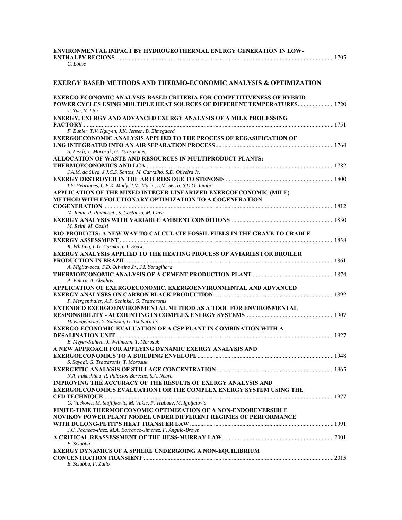#### **ENVIRONMENTAL IMPACT BY HYDROGEOTHERMAL ENERGY GENERATION IN LOW-ENTHALPY REGIONS**..................................................................................................................................................1705

#### *C. Lohse*

#### **EXERGY BASED METHODS AND THERMO-ECONOMIC ANALYSIS & OPTIMIZATION**

| ENERGY, EXERGY AND ADVANCED EXERGY ANALYSIS OF A MILK PROCESSING<br>F. Buhler, T.V. Nguyen, J.K. Jensen, B. Elmegaard<br><b>EXERGOECONOMIC ANALYSIS APPLIED TO THE PROCESS OF REGASIFICATION OF</b><br>S. Tesch, T. Morosuk, G. Tsatsaronis<br>ALLOCATION OF WASTE AND RESOURCES IN MULTIPRODUCT PLANTS:<br>J.A.M. da Silva, J.J.C.S. Santos, M. Carvalho, S.D. Oliveira Jr.<br>I.B. Henriques, C.E.K. Mady, J.M. Marin, L.M. Serra, S.D.O. Junior<br>APPLICATION OF THE MIXED INTEGER LINEARIZED EXERGOECONOMIC (MILE)<br><b>METHOD WITH EVOLUTIONARY OPTIMIZATION TO A COGENERATION</b><br>M. Reini, P. Pinamonti, S. Costanzo, M. Caisi<br>M. Reini, M. Casisi<br>BIO-PRODUCTS: A NEW WAY TO CALCULATE FOSSIL FUELS IN THE GRAVE TO CRADLE<br>K. Whiting, L.G. Carmona, T. Sousa<br><b>EXERGY ANALYSIS APPLIED TO THE HEATING PROCESS OF AVIARIES FOR BROILER</b><br>A. Migliavacca, S.D. Oliveira Jr., J.I. Yanagihara<br>A. Valero, A. Abadias<br>APPLICATION OF EXERGOECONOMIC, EXERGOENVIRONMENTAL AND ADVANCED<br>P. Mergenthaler, A.P. Schinkel, G. Tsatsaronis<br><b>EXTENDED EXERGOENVIRONMENTAL METHOD AS A TOOL FOR ENVIRONMENTAL</b><br>H. Khajehpour, Y. Saboohi, G. Tsatsaronis<br><b>EXERGO-ECONOMIC EVALUATION OF A CSP PLANT IN COMBINATION WITH A</b><br>B. Meyer-Kahlen, J. Wellmann, T. Morosuk<br>A NEW APPROACH FOR APPLYING DYNAMIC EXERGY ANALYSIS AND<br>S. Sayadi, G. Tsatsaronis, T. Morosuk<br>N.A. Fukushima, R. Palacios-Bereche, S.A. Nebra<br><b>IMPROVING THE ACCURACY OF THE RESULTS OF EXERGY ANALYSIS AND</b><br>EXERGOECONOMICS EVALUATION FOR THE COMPLEX ENERGY SYSTEM USING THE<br>G. Vuckovic, M. Stojiljkovic, M. Vukic, P. Trubaev, M. Ignijatovic<br><b>FINITE-TIME THERMOECONOMIC OPTIMIZATION OF A NON-ENDOREVERSIBLE</b><br><b>NOVIKOV POWER PLANT MODEL UNDER DIFFERENT REGIMES OF PERFORMANCE</b><br>J.C. Pacheco-Paez, M.A. Barranco-Jimenez, F. Angulo-Brown<br>E. Sciubba<br><b>EXERGY DYNAMICS OF A SPHERE UNDERGOING A NON-EQUILIBRIUM</b><br>E. Sciubba, F. Zullo | <b>EXERGO ECONOMIC ANALYSIS-BASED CRITERIA FOR COMPETITIVENESS OF HYBRID</b><br><b>POWER CYCLES USING MULTIPLE HEAT SOURCES OF DIFFERENT TEMPERATURES 1720</b> |  |
|----------------------------------------------------------------------------------------------------------------------------------------------------------------------------------------------------------------------------------------------------------------------------------------------------------------------------------------------------------------------------------------------------------------------------------------------------------------------------------------------------------------------------------------------------------------------------------------------------------------------------------------------------------------------------------------------------------------------------------------------------------------------------------------------------------------------------------------------------------------------------------------------------------------------------------------------------------------------------------------------------------------------------------------------------------------------------------------------------------------------------------------------------------------------------------------------------------------------------------------------------------------------------------------------------------------------------------------------------------------------------------------------------------------------------------------------------------------------------------------------------------------------------------------------------------------------------------------------------------------------------------------------------------------------------------------------------------------------------------------------------------------------------------------------------------------------------------------------------------------------------------------------------------------------------------------------------------------------------------------------------------------------------|----------------------------------------------------------------------------------------------------------------------------------------------------------------|--|
|                                                                                                                                                                                                                                                                                                                                                                                                                                                                                                                                                                                                                                                                                                                                                                                                                                                                                                                                                                                                                                                                                                                                                                                                                                                                                                                                                                                                                                                                                                                                                                                                                                                                                                                                                                                                                                                                                                                                                                                                                            | T. Yue, N. Lior                                                                                                                                                |  |
|                                                                                                                                                                                                                                                                                                                                                                                                                                                                                                                                                                                                                                                                                                                                                                                                                                                                                                                                                                                                                                                                                                                                                                                                                                                                                                                                                                                                                                                                                                                                                                                                                                                                                                                                                                                                                                                                                                                                                                                                                            |                                                                                                                                                                |  |
|                                                                                                                                                                                                                                                                                                                                                                                                                                                                                                                                                                                                                                                                                                                                                                                                                                                                                                                                                                                                                                                                                                                                                                                                                                                                                                                                                                                                                                                                                                                                                                                                                                                                                                                                                                                                                                                                                                                                                                                                                            |                                                                                                                                                                |  |
|                                                                                                                                                                                                                                                                                                                                                                                                                                                                                                                                                                                                                                                                                                                                                                                                                                                                                                                                                                                                                                                                                                                                                                                                                                                                                                                                                                                                                                                                                                                                                                                                                                                                                                                                                                                                                                                                                                                                                                                                                            |                                                                                                                                                                |  |
|                                                                                                                                                                                                                                                                                                                                                                                                                                                                                                                                                                                                                                                                                                                                                                                                                                                                                                                                                                                                                                                                                                                                                                                                                                                                                                                                                                                                                                                                                                                                                                                                                                                                                                                                                                                                                                                                                                                                                                                                                            |                                                                                                                                                                |  |
|                                                                                                                                                                                                                                                                                                                                                                                                                                                                                                                                                                                                                                                                                                                                                                                                                                                                                                                                                                                                                                                                                                                                                                                                                                                                                                                                                                                                                                                                                                                                                                                                                                                                                                                                                                                                                                                                                                                                                                                                                            |                                                                                                                                                                |  |
|                                                                                                                                                                                                                                                                                                                                                                                                                                                                                                                                                                                                                                                                                                                                                                                                                                                                                                                                                                                                                                                                                                                                                                                                                                                                                                                                                                                                                                                                                                                                                                                                                                                                                                                                                                                                                                                                                                                                                                                                                            |                                                                                                                                                                |  |
|                                                                                                                                                                                                                                                                                                                                                                                                                                                                                                                                                                                                                                                                                                                                                                                                                                                                                                                                                                                                                                                                                                                                                                                                                                                                                                                                                                                                                                                                                                                                                                                                                                                                                                                                                                                                                                                                                                                                                                                                                            |                                                                                                                                                                |  |
|                                                                                                                                                                                                                                                                                                                                                                                                                                                                                                                                                                                                                                                                                                                                                                                                                                                                                                                                                                                                                                                                                                                                                                                                                                                                                                                                                                                                                                                                                                                                                                                                                                                                                                                                                                                                                                                                                                                                                                                                                            |                                                                                                                                                                |  |
|                                                                                                                                                                                                                                                                                                                                                                                                                                                                                                                                                                                                                                                                                                                                                                                                                                                                                                                                                                                                                                                                                                                                                                                                                                                                                                                                                                                                                                                                                                                                                                                                                                                                                                                                                                                                                                                                                                                                                                                                                            |                                                                                                                                                                |  |
|                                                                                                                                                                                                                                                                                                                                                                                                                                                                                                                                                                                                                                                                                                                                                                                                                                                                                                                                                                                                                                                                                                                                                                                                                                                                                                                                                                                                                                                                                                                                                                                                                                                                                                                                                                                                                                                                                                                                                                                                                            |                                                                                                                                                                |  |
|                                                                                                                                                                                                                                                                                                                                                                                                                                                                                                                                                                                                                                                                                                                                                                                                                                                                                                                                                                                                                                                                                                                                                                                                                                                                                                                                                                                                                                                                                                                                                                                                                                                                                                                                                                                                                                                                                                                                                                                                                            |                                                                                                                                                                |  |
|                                                                                                                                                                                                                                                                                                                                                                                                                                                                                                                                                                                                                                                                                                                                                                                                                                                                                                                                                                                                                                                                                                                                                                                                                                                                                                                                                                                                                                                                                                                                                                                                                                                                                                                                                                                                                                                                                                                                                                                                                            |                                                                                                                                                                |  |
|                                                                                                                                                                                                                                                                                                                                                                                                                                                                                                                                                                                                                                                                                                                                                                                                                                                                                                                                                                                                                                                                                                                                                                                                                                                                                                                                                                                                                                                                                                                                                                                                                                                                                                                                                                                                                                                                                                                                                                                                                            |                                                                                                                                                                |  |
|                                                                                                                                                                                                                                                                                                                                                                                                                                                                                                                                                                                                                                                                                                                                                                                                                                                                                                                                                                                                                                                                                                                                                                                                                                                                                                                                                                                                                                                                                                                                                                                                                                                                                                                                                                                                                                                                                                                                                                                                                            |                                                                                                                                                                |  |
|                                                                                                                                                                                                                                                                                                                                                                                                                                                                                                                                                                                                                                                                                                                                                                                                                                                                                                                                                                                                                                                                                                                                                                                                                                                                                                                                                                                                                                                                                                                                                                                                                                                                                                                                                                                                                                                                                                                                                                                                                            |                                                                                                                                                                |  |
|                                                                                                                                                                                                                                                                                                                                                                                                                                                                                                                                                                                                                                                                                                                                                                                                                                                                                                                                                                                                                                                                                                                                                                                                                                                                                                                                                                                                                                                                                                                                                                                                                                                                                                                                                                                                                                                                                                                                                                                                                            |                                                                                                                                                                |  |
|                                                                                                                                                                                                                                                                                                                                                                                                                                                                                                                                                                                                                                                                                                                                                                                                                                                                                                                                                                                                                                                                                                                                                                                                                                                                                                                                                                                                                                                                                                                                                                                                                                                                                                                                                                                                                                                                                                                                                                                                                            |                                                                                                                                                                |  |
|                                                                                                                                                                                                                                                                                                                                                                                                                                                                                                                                                                                                                                                                                                                                                                                                                                                                                                                                                                                                                                                                                                                                                                                                                                                                                                                                                                                                                                                                                                                                                                                                                                                                                                                                                                                                                                                                                                                                                                                                                            |                                                                                                                                                                |  |
|                                                                                                                                                                                                                                                                                                                                                                                                                                                                                                                                                                                                                                                                                                                                                                                                                                                                                                                                                                                                                                                                                                                                                                                                                                                                                                                                                                                                                                                                                                                                                                                                                                                                                                                                                                                                                                                                                                                                                                                                                            |                                                                                                                                                                |  |
|                                                                                                                                                                                                                                                                                                                                                                                                                                                                                                                                                                                                                                                                                                                                                                                                                                                                                                                                                                                                                                                                                                                                                                                                                                                                                                                                                                                                                                                                                                                                                                                                                                                                                                                                                                                                                                                                                                                                                                                                                            |                                                                                                                                                                |  |
|                                                                                                                                                                                                                                                                                                                                                                                                                                                                                                                                                                                                                                                                                                                                                                                                                                                                                                                                                                                                                                                                                                                                                                                                                                                                                                                                                                                                                                                                                                                                                                                                                                                                                                                                                                                                                                                                                                                                                                                                                            |                                                                                                                                                                |  |
|                                                                                                                                                                                                                                                                                                                                                                                                                                                                                                                                                                                                                                                                                                                                                                                                                                                                                                                                                                                                                                                                                                                                                                                                                                                                                                                                                                                                                                                                                                                                                                                                                                                                                                                                                                                                                                                                                                                                                                                                                            |                                                                                                                                                                |  |
|                                                                                                                                                                                                                                                                                                                                                                                                                                                                                                                                                                                                                                                                                                                                                                                                                                                                                                                                                                                                                                                                                                                                                                                                                                                                                                                                                                                                                                                                                                                                                                                                                                                                                                                                                                                                                                                                                                                                                                                                                            |                                                                                                                                                                |  |
|                                                                                                                                                                                                                                                                                                                                                                                                                                                                                                                                                                                                                                                                                                                                                                                                                                                                                                                                                                                                                                                                                                                                                                                                                                                                                                                                                                                                                                                                                                                                                                                                                                                                                                                                                                                                                                                                                                                                                                                                                            |                                                                                                                                                                |  |
|                                                                                                                                                                                                                                                                                                                                                                                                                                                                                                                                                                                                                                                                                                                                                                                                                                                                                                                                                                                                                                                                                                                                                                                                                                                                                                                                                                                                                                                                                                                                                                                                                                                                                                                                                                                                                                                                                                                                                                                                                            |                                                                                                                                                                |  |
|                                                                                                                                                                                                                                                                                                                                                                                                                                                                                                                                                                                                                                                                                                                                                                                                                                                                                                                                                                                                                                                                                                                                                                                                                                                                                                                                                                                                                                                                                                                                                                                                                                                                                                                                                                                                                                                                                                                                                                                                                            |                                                                                                                                                                |  |
|                                                                                                                                                                                                                                                                                                                                                                                                                                                                                                                                                                                                                                                                                                                                                                                                                                                                                                                                                                                                                                                                                                                                                                                                                                                                                                                                                                                                                                                                                                                                                                                                                                                                                                                                                                                                                                                                                                                                                                                                                            |                                                                                                                                                                |  |
|                                                                                                                                                                                                                                                                                                                                                                                                                                                                                                                                                                                                                                                                                                                                                                                                                                                                                                                                                                                                                                                                                                                                                                                                                                                                                                                                                                                                                                                                                                                                                                                                                                                                                                                                                                                                                                                                                                                                                                                                                            |                                                                                                                                                                |  |
|                                                                                                                                                                                                                                                                                                                                                                                                                                                                                                                                                                                                                                                                                                                                                                                                                                                                                                                                                                                                                                                                                                                                                                                                                                                                                                                                                                                                                                                                                                                                                                                                                                                                                                                                                                                                                                                                                                                                                                                                                            |                                                                                                                                                                |  |
|                                                                                                                                                                                                                                                                                                                                                                                                                                                                                                                                                                                                                                                                                                                                                                                                                                                                                                                                                                                                                                                                                                                                                                                                                                                                                                                                                                                                                                                                                                                                                                                                                                                                                                                                                                                                                                                                                                                                                                                                                            |                                                                                                                                                                |  |
|                                                                                                                                                                                                                                                                                                                                                                                                                                                                                                                                                                                                                                                                                                                                                                                                                                                                                                                                                                                                                                                                                                                                                                                                                                                                                                                                                                                                                                                                                                                                                                                                                                                                                                                                                                                                                                                                                                                                                                                                                            |                                                                                                                                                                |  |
|                                                                                                                                                                                                                                                                                                                                                                                                                                                                                                                                                                                                                                                                                                                                                                                                                                                                                                                                                                                                                                                                                                                                                                                                                                                                                                                                                                                                                                                                                                                                                                                                                                                                                                                                                                                                                                                                                                                                                                                                                            |                                                                                                                                                                |  |
|                                                                                                                                                                                                                                                                                                                                                                                                                                                                                                                                                                                                                                                                                                                                                                                                                                                                                                                                                                                                                                                                                                                                                                                                                                                                                                                                                                                                                                                                                                                                                                                                                                                                                                                                                                                                                                                                                                                                                                                                                            |                                                                                                                                                                |  |
|                                                                                                                                                                                                                                                                                                                                                                                                                                                                                                                                                                                                                                                                                                                                                                                                                                                                                                                                                                                                                                                                                                                                                                                                                                                                                                                                                                                                                                                                                                                                                                                                                                                                                                                                                                                                                                                                                                                                                                                                                            |                                                                                                                                                                |  |
|                                                                                                                                                                                                                                                                                                                                                                                                                                                                                                                                                                                                                                                                                                                                                                                                                                                                                                                                                                                                                                                                                                                                                                                                                                                                                                                                                                                                                                                                                                                                                                                                                                                                                                                                                                                                                                                                                                                                                                                                                            |                                                                                                                                                                |  |
|                                                                                                                                                                                                                                                                                                                                                                                                                                                                                                                                                                                                                                                                                                                                                                                                                                                                                                                                                                                                                                                                                                                                                                                                                                                                                                                                                                                                                                                                                                                                                                                                                                                                                                                                                                                                                                                                                                                                                                                                                            |                                                                                                                                                                |  |
|                                                                                                                                                                                                                                                                                                                                                                                                                                                                                                                                                                                                                                                                                                                                                                                                                                                                                                                                                                                                                                                                                                                                                                                                                                                                                                                                                                                                                                                                                                                                                                                                                                                                                                                                                                                                                                                                                                                                                                                                                            |                                                                                                                                                                |  |
|                                                                                                                                                                                                                                                                                                                                                                                                                                                                                                                                                                                                                                                                                                                                                                                                                                                                                                                                                                                                                                                                                                                                                                                                                                                                                                                                                                                                                                                                                                                                                                                                                                                                                                                                                                                                                                                                                                                                                                                                                            |                                                                                                                                                                |  |
|                                                                                                                                                                                                                                                                                                                                                                                                                                                                                                                                                                                                                                                                                                                                                                                                                                                                                                                                                                                                                                                                                                                                                                                                                                                                                                                                                                                                                                                                                                                                                                                                                                                                                                                                                                                                                                                                                                                                                                                                                            |                                                                                                                                                                |  |
|                                                                                                                                                                                                                                                                                                                                                                                                                                                                                                                                                                                                                                                                                                                                                                                                                                                                                                                                                                                                                                                                                                                                                                                                                                                                                                                                                                                                                                                                                                                                                                                                                                                                                                                                                                                                                                                                                                                                                                                                                            |                                                                                                                                                                |  |
|                                                                                                                                                                                                                                                                                                                                                                                                                                                                                                                                                                                                                                                                                                                                                                                                                                                                                                                                                                                                                                                                                                                                                                                                                                                                                                                                                                                                                                                                                                                                                                                                                                                                                                                                                                                                                                                                                                                                                                                                                            |                                                                                                                                                                |  |
|                                                                                                                                                                                                                                                                                                                                                                                                                                                                                                                                                                                                                                                                                                                                                                                                                                                                                                                                                                                                                                                                                                                                                                                                                                                                                                                                                                                                                                                                                                                                                                                                                                                                                                                                                                                                                                                                                                                                                                                                                            |                                                                                                                                                                |  |
|                                                                                                                                                                                                                                                                                                                                                                                                                                                                                                                                                                                                                                                                                                                                                                                                                                                                                                                                                                                                                                                                                                                                                                                                                                                                                                                                                                                                                                                                                                                                                                                                                                                                                                                                                                                                                                                                                                                                                                                                                            |                                                                                                                                                                |  |
|                                                                                                                                                                                                                                                                                                                                                                                                                                                                                                                                                                                                                                                                                                                                                                                                                                                                                                                                                                                                                                                                                                                                                                                                                                                                                                                                                                                                                                                                                                                                                                                                                                                                                                                                                                                                                                                                                                                                                                                                                            |                                                                                                                                                                |  |
|                                                                                                                                                                                                                                                                                                                                                                                                                                                                                                                                                                                                                                                                                                                                                                                                                                                                                                                                                                                                                                                                                                                                                                                                                                                                                                                                                                                                                                                                                                                                                                                                                                                                                                                                                                                                                                                                                                                                                                                                                            |                                                                                                                                                                |  |
|                                                                                                                                                                                                                                                                                                                                                                                                                                                                                                                                                                                                                                                                                                                                                                                                                                                                                                                                                                                                                                                                                                                                                                                                                                                                                                                                                                                                                                                                                                                                                                                                                                                                                                                                                                                                                                                                                                                                                                                                                            |                                                                                                                                                                |  |
|                                                                                                                                                                                                                                                                                                                                                                                                                                                                                                                                                                                                                                                                                                                                                                                                                                                                                                                                                                                                                                                                                                                                                                                                                                                                                                                                                                                                                                                                                                                                                                                                                                                                                                                                                                                                                                                                                                                                                                                                                            |                                                                                                                                                                |  |
|                                                                                                                                                                                                                                                                                                                                                                                                                                                                                                                                                                                                                                                                                                                                                                                                                                                                                                                                                                                                                                                                                                                                                                                                                                                                                                                                                                                                                                                                                                                                                                                                                                                                                                                                                                                                                                                                                                                                                                                                                            |                                                                                                                                                                |  |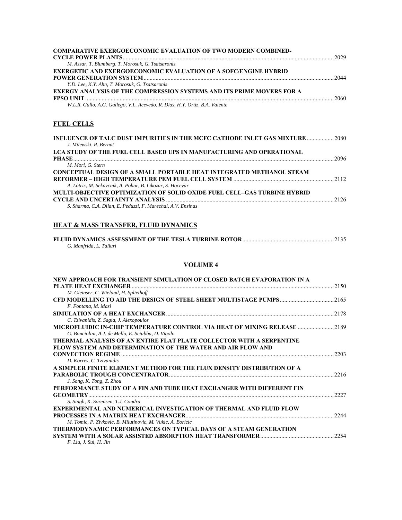| <b>COMPARATIVE EXERGOECONOMIC EVALUATION OF TWO MODERN COMBINED-</b>         |      |
|------------------------------------------------------------------------------|------|
|                                                                              |      |
| M. Assar, T. Blumberg, T. Morosuk, G. Tsatsaronis                            |      |
| <b>EXERGETIC AND EXERGOECONOMIC EVALUATION OF A SOFC/ENGINE HYBRID</b>       |      |
|                                                                              | 2044 |
| Y.D. Lee, K.Y. Ahn. T. Morosuk, G. Tsatsaronis                               |      |
| <b>EXERGY ANALYSIS OF THE COMPRESSION SYSTEMS AND ITS PRIME MOVERS FOR A</b> |      |
|                                                                              |      |
| W.L.R. Gallo, A.G. Gallego, V.L. Acevedo, R. Dias, H.Y. Ortiz, B.A. Valente  |      |

# **FUEL CELLS**

| INFLUENCE OF TALC DUST IMPURITIES IN THE MCFC CATHODE INLET GAS MIXTURE  2080   |  |
|---------------------------------------------------------------------------------|--|
| J. Milewski, R. Bernat                                                          |  |
| LCA STUDY OF THE FUEL CELL BASED UPS IN MANUFACTURING AND OPERATIONAL           |  |
|                                                                                 |  |
| M. Mori, G. Stern                                                               |  |
| CONCEPTUAL DESIGN OF A SMALL PORTABLE HEAT INTEGRATED METHANOL STEAM            |  |
|                                                                                 |  |
| A. Lotric, M. Sekavcnik, A. Pohar, B. Likozar, S. Hocevar                       |  |
| <b>MULTI-OBJECTIVE OPTIMIZATION OF SOLID OXIDE FUEL CELL-GAS TURBINE HYBRID</b> |  |
|                                                                                 |  |
| S. Sharma, C.A. Dilan, E. Peduzzi, F. Marechal, A.V. Ensinas                    |  |

### **HEAT & MASS TRANSFER, FLUID DYNAMICS**

| G. Manfrida, L. Talluri |  |  |  |
|-------------------------|--|--|--|

| NEW APPROACH FOR TRANSIENT SIMULATION OF CLOSED BATCH EVAPORATION IN A    |       |
|---------------------------------------------------------------------------|-------|
|                                                                           | 2150  |
| M. Gleinser, C. Wieland, H. Spliethoff                                    |       |
|                                                                           | 2165  |
| F. Fontana, M. Masi                                                       |       |
|                                                                           | 2178  |
| C. Tzivanidis, Z. Sagia, J. Alexopoulos                                   |       |
| MICROFLUIDIC IN-CHIP TEMPERATURE CONTROL VIA HEAT OF MIXING RELEASE       | 2189  |
| G. Bonciolini, A.J. de Mello, E. Sciubba, D. Vigolo                       |       |
| THERMAL ANALYSIS OF AN ENTIRE FLAT PLATE COLLECTOR WITH A SERPENTINE      |       |
| <b>FLOW SYSTEM AND DETERMINATION OF THE WATER AND AIR FLOW AND</b>        |       |
|                                                                           | 2203  |
| D. Korres, C. Tzivanidis                                                  |       |
| A SIMPLER FINITE ELEMENT METHOD FOR THE FLUX DENSITY DISTRIBUTION OF A    |       |
|                                                                           | 2216  |
| J. Song, K. Tong, Z. Zhou                                                 |       |
| PERFORMANCE STUDY OF A FIN AND TUBE HEAT EXCHANGER WITH DIFFERENT FIN     |       |
| <b>GEOMETRY</b>                                                           | 2227  |
| S. Singh, K. Sorensen, T.J. Condra                                        |       |
| <b>EXPERIMENTAL AND NUMERICAL INVESTIGATION OF THERMAL AND FLUID FLOW</b> |       |
|                                                                           | 22.44 |
| M. Tomic, P. Zivkovic, B. Milutinovic, M. Vukic, A. Boricic               |       |
| THERMODYNAMIC PERFORMANCES ON TYPICAL DAYS OF A STEAM GENERATION          |       |
| SYSTEM WITH A SOLAR ASSISTED ABSORPTION HEAT TRANSFORMER.                 | 2254  |
| F. Liu. J. Sui. H. Jin                                                    |       |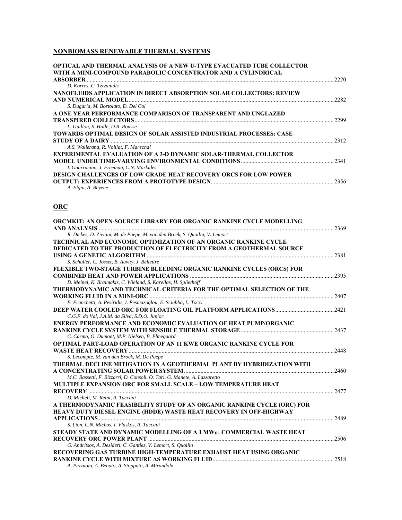## **NONBIOMASS RENEWABLE THERMAL SYSTEMS**

| <b>OPTICAL AND THERMAL ANALYSIS OF A NEW U-TYPE EVACUATED TUBE COLLECTOR</b><br>WITH A MINI-COMPOUND PARABOLIC CONCENTRATOR AND A CYLINDRICAL |      |
|-----------------------------------------------------------------------------------------------------------------------------------------------|------|
| <b>ABSORBER</b>                                                                                                                               | 2270 |
| D. Korres, C. Tzivanidis                                                                                                                      |      |
| NANOFLUIDS APPLICATION IN DIRECT ABSORPTION SOLAR COLLECTORS: REVIEW                                                                          |      |
| AND NUMERICAL MODEL                                                                                                                           | 2282 |
| S. Dugaria, M. Bortolato, D. Del Col                                                                                                          |      |
| A ONE YEAR PERFORMANCE COMPARISON OF TRANSPARENT AND UNGLAZED                                                                                 |      |
|                                                                                                                                               | 2299 |
| L. Guillon, S. Halle, D.R. Rousse                                                                                                             |      |
| <b>TOWARDS OPTIMAL DESIGN OF SOLAR ASSISTED INDUSTRIAL PROCESSES: CASE</b>                                                                    |      |
|                                                                                                                                               | 2312 |
| A.S. Wallerand, R. Voillat, F. Marechal                                                                                                       |      |
| <b>EXPERIMENTAL EVALUATION OF A 3-D DYNAMIC SOLAR-THERMAL COLLECTOR</b>                                                                       |      |
|                                                                                                                                               | 2341 |
| I. Guarracino, J. Freeman, C.N. Markides                                                                                                      |      |
| <b>DESIGN CHALLENGES OF LOW GRADE HEAT RECOVERY ORCS FOR LOW POWER</b>                                                                        |      |
|                                                                                                                                               | 2356 |
| A. Elgin, A. Beyene                                                                                                                           |      |

## **ORC**

| <b>ORCMKIT: AN OPEN-SOURCE LIBRARY FOR ORGANIC RANKINE CYCLE MODELLING</b>   |       |
|------------------------------------------------------------------------------|-------|
|                                                                              | .2369 |
| R. Dickes, D. Ziviani, M. de Paepe, M. van den Broek, S. Quoilin, V. Lemort  |       |
| <b>TECHNICAL AND ECONOMIC OPTIMIZATION OF AN ORGANIC RANKINE CYCLE</b>       |       |
| <b>DEDICATED TO THE PRODUCTION OF ELECTRICITY FROM A GEOTHERMAL SOURCE</b>   |       |
|                                                                              | 2381  |
| S. Schuller, C. Josset, B. Auvity, J. Bellettre                              |       |
| <b>FLEXIBLE TWO-STAGE TURBINE BLEEDING ORGANIC RANKINE CYCLES (ORCS) FOR</b> |       |
|                                                                              | 2395  |
| D. Meinel, K. Braimakis, C. Wieland, S. Karellas, H. Spliethoff              |       |
| THERMODYNAMIC AND TECHNICAL CRITERIA FOR THE OPTIMAL SELECTION OF THE        |       |
|                                                                              | 2407  |
| B. Franchetti, A. Pesiridis, I. Pesmazoglou, E. Sciubba, L. Tocci            |       |
|                                                                              | .2421 |
| C.G.F. do Val, J.A.M. da Silva, S.D.O. Junior                                |       |
| ENERGY PERFORMANCE AND ECONOMIC EVALUATION OF HEAT PUMP/ORGANIC              |       |
|                                                                              | 2437  |
| C. Carmo, O. Dumont, M.P. Nielsen, B. Elmegaard                              |       |
| <b>OPTIMAL PART-LOAD OPERATION OF AN 11 KWE ORGANIC RANKINE CYCLE FOR</b>    |       |
|                                                                              | 2448  |
| S. Lecompte, M. van den Broek, M. De Paepe                                   |       |
| THERMAL DECLINE MITIGATION IN A GEOTHERMAL PLANT BY HYBRIDIZATION WITH       |       |
|                                                                              | 2460  |
| M.C. Bassetti, F. Bizzarri, D. Consoli, O. Tari, G. Manete, A. Lazzaretto    |       |
| <b>MULTIPLE EXPANSION ORC FOR SMALL SCALE - LOW TEMPERATURE HEAT</b>         |       |
|                                                                              | 2477  |
| D. Micheli, M. Reini, R. Taccani                                             |       |
| A THERMODYNAMIC FEASIBILITY STUDY OF AN ORGANIC RANKINE CYCLE (ORC) FOR      |       |
| HEAVY DUTY DIESEL ENGINE (HDDE) WASTE HEAT RECOVERY IN OFF-HIGHWAY           |       |
|                                                                              | 2489  |
| S. Lion, C.N. Michos, I. Vlaskos, R. Taccani                                 |       |
| STEADY STATE AND DYNAMIC MODELLING OF A 1 MWEL COMMERCIAL WASTE HEAT         |       |
|                                                                              | 2506  |
| G. Andritsos, A. Desideri, C. Gantiez, V. Lemort, S. Quoilin                 |       |
| RECOVERING GAS TURBINE HIGH-TEMPERATURE EXHAUST HEAT USING ORGANIC           |       |
|                                                                              | 2518  |
| A. Pezzuolo, A. Benato, A. Stoppato, A. Mirandola                            |       |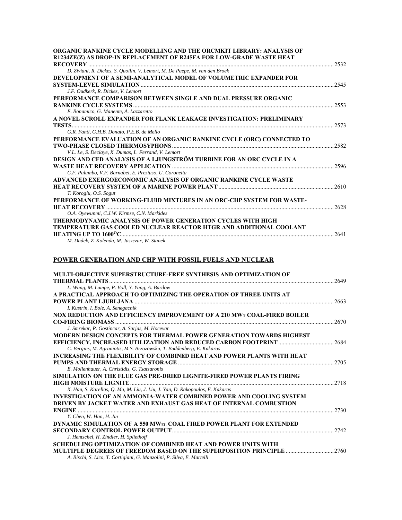| ORGANIC RANKINE CYCLE MODELLING AND THE ORCMKIT LIBRARY: ANALYSIS OF        |      |
|-----------------------------------------------------------------------------|------|
| R1234ZE(Z) AS DROP-IN REPLACEMENT OF R245FA FOR LOW-GRADE WASTE HEAT        | 2532 |
| D. Ziviani, R. Dickes, S. Quoilin, V. Lemort, M. De Paepe, M. van den Broek |      |
| DEVELOPMENT OF A SEMI-ANALYTICAL MODEL OF VOLUMETRIC EXPANDER FOR           |      |
|                                                                             | 2545 |
| J.F. Oudkerk, R. Dickes, V. Lemort                                          |      |
| PERFORMANCE COMPARISON BETWEEN SINGLE AND DUAL PRESSURE ORGANIC             |      |
|                                                                             | 2553 |
| E. Bonamico, G. Manente, A. Lazzaretto                                      |      |
| A NOVEL SCROLL EXPANDER FOR FLANK LEAKAGE INVESTIGATION: PRELIMINARY        |      |
|                                                                             | 2573 |
| G.R. Fanti, G.H.B. Donato, P.E.B. de Mello                                  |      |
| PERFORMANCE EVALUATION OF AN ORGANIC RANKINE CYCLE (ORC) CONNECTED TO       |      |
|                                                                             | 2582 |
| V.L. Le, S. Declaye, X. Dumas, L. Ferrand, V. Lemort                        |      |
| DESIGN AND CFD ANALYSIS OF A LJUNGSTRÖM TURBINE FOR AN ORC CYCLE IN A       |      |
|                                                                             | 2596 |
| C.F. Palumbo, V.F. Barnabei, E. Preziuso, U. Coronetta                      |      |
| ADVANCED EXERGOECONOMIC ANALYSIS OF ORGANIC RANKINE CYCLE WASTE             |      |
|                                                                             | 2610 |
| T. Koroglu, O.S. Sogut                                                      |      |
| PERFORMANCE OF WORKING-FLUID MIXTURES IN AN ORC-CHP SYSTEM FOR WASTE-       |      |
|                                                                             | 2628 |
| O.A. Ovewunmi, C.J.W. Kirmse, C.N. Markides                                 |      |
| THERMODYNAMIC ANALYSIS OF POWER GENERATION CYCLES WITH HIGH                 |      |
| <b>TEMPERATURE GAS COOLED NUCLEAR REACTOR HTGR AND ADDITIONAL COOLANT</b>   |      |
| <b>HEATING UP TO 1600°C.</b>                                                | 2641 |
| M. Dudek, Z. Kolenda, M. Jaszczur, W. Stanek                                |      |

# **POWER GENERATION AND CHP WITH FOSSIL FUELS AND NUCLEAR**

| <b>MULTI-OBJECTIVE SUPERSTRUCTURE-FREE SYNTHESIS AND OPTIMIZATION OF</b>                  |       |
|-------------------------------------------------------------------------------------------|-------|
|                                                                                           | 2649  |
| L. Wang, M. Lampe, P. Voll, Y. Yang, A. Bardow                                            |       |
| A PRACTICAL APPROACH TO OPTIMIZING THE OPERATION OF THREE UNITS AT                        |       |
|                                                                                           | 2663  |
| I. Kustrin, I. Bole, A. Senegacnik                                                        |       |
| <b>NOX REDUCTION AND EFFICIENCY IMPROVEMENT OF A 210 MW<sub>T</sub> COAL-FIRED BOILER</b> |       |
|                                                                                           | 2670  |
| J. Smrekar, P. Gostincar, A. Sarjas, M. Hocevar                                           |       |
| <b>MODERN DESIGN CONCEPTS FOR THERMAL POWER GENERATION TOWARDS HIGHEST</b>                |       |
|                                                                                           | 2684  |
| C. Bergins, M. Agraniotis, M.S. Brzozowska, T. Buddenberg, E. Kakaras                     |       |
| <b>INCREASING THE FLEXIBILITY OF COMBINED HEAT AND POWER PLANTS WITH HEAT</b>             |       |
|                                                                                           | 2705  |
| E. Mollenhauer, A. Christidis, G. Tsatsaronis                                             |       |
| SIMULATION ON THE FLUE GAS PRE-DRIED LIGNITE-FIRED POWER PLANTS FIRING                    |       |
| <b>HIGH MOISTURE LIGNITE</b>                                                              | 2.718 |
| X. Han, S. Karellas, Q. Mu, M. Liu, J. Liu, J. Yan, D. Rakopoulos, E. Kakaras             |       |
| <b>INVESTIGATION OF AN AMMONIA-WATER COMBINED POWER AND COOLING SYSTEM</b>                |       |
| DRIVEN BY JACKET WATER AND EXHAUST GAS HEAT OF INTERNAL COMBUSTION                        |       |
| <b>ENGINE</b>                                                                             | 2730  |
| Y. Chen, W. Han, H. Jin                                                                   |       |
| DYNAMIC SIMULATION OF A 550 MW <sub>EL</sub> COAL FIRED POWER PLANT FOR EXTENDED          |       |
|                                                                                           | 2.742 |
| J. Hentschel, H. Zindler, H. Spliethoff                                                   |       |
| SCHEDULING OPTIMIZATION OF COMBINED HEAT AND POWER UNITS WITH                             |       |
| MULTIPLE DEGREES OF FREEDOM BASED ON THE SUPERPOSITION PRINCIPLE                          | .2760 |
| A. Bischi, S. Lico, T. Cortigiani, G. Manzolini, P. Silva, E. Martelli                    |       |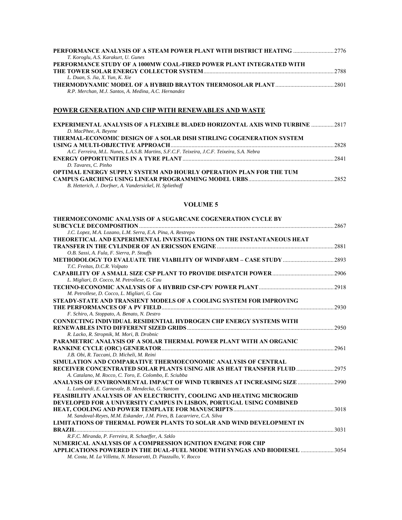| <b>PERFORMANCE ANALYSIS OF A STEAM POWER PLANT WITH DISTRICT HEATING 2776</b> |  |
|-------------------------------------------------------------------------------|--|
| T. Koroglu, A.S. Karakurt, U. Gunes                                           |  |
| PERFORMANCE STUDY OF A 1000MW COAL-FIRED POWER PLANT INTEGRATED WITH          |  |
|                                                                               |  |
| L. Duan, S. Jia, X. Yun, K. Xie                                               |  |
|                                                                               |  |
| R.P. Merchan, M.J. Santos, A. Medina, A.C. Hernandez                          |  |

# **POWER GENERATION AND CHP WITH RENEWABLES AND WASTE**

| <b>EXPERIMENTAL ANALYSIS OF A FLEXIBLE BLADED HORIZONTAL AXIS WIND TURBINE 2817</b>         |  |
|---------------------------------------------------------------------------------------------|--|
| D. MacPhee, A. Beyene                                                                       |  |
| <b>THERMAL-ECONOMIC DESIGN OF A SOLAR DISH STIRLING COGENERATION SYSTEM</b>                 |  |
|                                                                                             |  |
| A.C. Ferreira, M.L. Nunes, L.A.S.B. Martins, S.F.C.F. Teixeira, J.C.F. Teixeira, S.A. Nebra |  |
|                                                                                             |  |
| D. Tavares, C. Pinho                                                                        |  |
| <b>OPTIMAL ENERGY SUPPLY SYSTEM AND HOURLY OPERATION PLAN FOR THE TUM</b>                   |  |
|                                                                                             |  |
| B. Hetterich, J. Dorfner, A. Vandersickel, H. Spliethoff                                    |  |

| THERMOECONOMIC ANALYSIS OF A SUGARCANE COGENERATION CYCLE BY              |      |
|---------------------------------------------------------------------------|------|
|                                                                           | 2867 |
| J.C. Lopez, M.A. Lozano, L.M. Serra, E.A. Pina, A. Restrepo               |      |
| THEORETICAL AND EXPERIMENTAL INVESTIGATIONS ON THE INSTANTANEOUS HEAT     |      |
|                                                                           | 2881 |
| O.B. Sassi, A. Fula, F. Sierra, P. Stouffs                                |      |
|                                                                           |      |
| T.C. Freitas, D.C.R. Volpato                                              |      |
|                                                                           | 2906 |
| L. Migliari, D. Cocco, M. Petrollese, G. Cau                              |      |
|                                                                           | 2918 |
| M. Petrollese, D. Cocco, L. Migliari, G. Cau                              |      |
| STEADY-STATE AND TRANSIENT MODELS OF A COOLING SYSTEM FOR IMPROVING       |      |
|                                                                           | 2930 |
| F. Schiro, A. Stoppato, A. Benato, N. Destro                              |      |
| <b>CONNECTING INDIVIDUAL RESIDENTIAL HYDROGEN CHP ENERGY SYSTEMS WITH</b> |      |
| RENEWABLES INTO DIFFERENT SIZED GRIDS                                     | 2950 |
| R. Lacko, R. Stropnik, M. Mori, B. Drobnic                                |      |
| PARAMETRIC ANALYSIS OF A SOLAR THERMAL POWER PLANT WITH AN ORGANIC        |      |
|                                                                           | 2961 |
| J.B. Obi, R. Taccani, D. Micheli, M. Reini                                |      |
| SIMULATION AND COMPARATIVE THERMOECONOMIC ANALYSIS OF CENTRAL             |      |
| RECEIVER CONCENTRATED SOLAR PLANTS USING AIR AS HEAT TRANSFER FLUID       | 2975 |
| A. Catalano, M. Rocco, C. Toro, E. Colombo, E. Sciubba                    |      |
| ANALYSIS OF ENVIRONMENTAL IMPACT OF WIND TURBINES AT INCREASING SIZE      | 2990 |
| L. Lombardi, E. Carnevale, B. Mendecka, G. Santom                         |      |
| FEASIBILITY ANALYSIS OF AN ELECTRICITY, COOLING AND HEATING MICROGRID     |      |
| DEVELOPED FOR A UNIVERSITY CAMPUS IN LISBON, PORTUGAL USING COMBINED      |      |
|                                                                           | 3018 |
| M. Sandoval-Reyes, M.M. Eskander, J.M. Pires, B. Lacarriere, C.A. Silva   |      |
| LIMITATIONS OF THERMAL POWER PLANTS TO SOLAR AND WIND DEVELOPMENT IN      | 3031 |
| R.F.C. Miranda, P. Ferreira, R. Schaeffer, A. Szklo                       |      |
| NUMERICAL ANALYSIS OF A COMPRESSION IGNITION ENGINE FOR CHP               |      |
| APPLICATIONS POWERED IN THE DUAL-FUEL MODE WITH SYNGAS AND BIODIESEL      | 3054 |
| M. Costa, M. La Villetta, N. Massarotti, D. Piazzullo, V. Rocco           |      |
|                                                                           |      |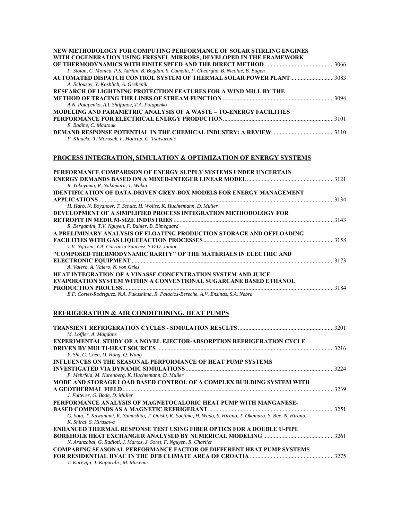| NEW METHODOLOGY FOR COMPUTING PERFORMANCE OF SOLAR STIRLING ENGINES                         |      |
|---------------------------------------------------------------------------------------------|------|
| WITH COGENERATION USING FRESNEL MIRRORS, DEVELOPED IN THE FRAMEWORK                         |      |
| P. Stoian, C. Monica, P.S. Adrian, B. Bogdan, S. Camelia, P. Gheorghe, B. Nicolae, B. Eugen |      |
| AUTOMATED DISPATCH CONTROL SYSTEM OF THERMAL SOLAR POWER PLANT3083                          |      |
| A. Belousov, Y. Koshlich, A. Grebenik                                                       |      |
| <b>RESEARCH OF LIGHTNING PROTECTION FEATURES FOR A WIND MILL BY THE</b>                     |      |
|                                                                                             |      |
| A.N. Potapenko, A.I. Shtifanov, T.A. Potapenko                                              |      |
| <b>MODELING AND PARAMETRIC ANALYSIS OF A WASTE - TO-ENERGY FACILITIES</b>                   |      |
|                                                                                             |      |
| E. Badine, C. Maatouk                                                                       |      |
|                                                                                             |      |
| F. Klaucke, T. Morosuk, F. Holtrup, G. Tsatsaronis                                          |      |
| PROCESS INTEGRATION, SIMULATION & OPTIMIZATION OF ENERGY SYSTEMS                            |      |
|                                                                                             |      |
| PERFORMANCE COMPARISON OF ENERGY SUPPLY SYSTEMS UNDER UNCERTAIN                             |      |
|                                                                                             |      |
| R. Yokoyama, R. Nakamura, T. Wakui                                                          |      |
| <b>IDENTIFICATION OF DATA-DRIVEN GREY-BOX MODELS FOR ENERGY MANAGEMENT</b>                  |      |
| <b>APPLICATIONS</b> 2334                                                                    |      |
| H. Harb, N. Boyanovr, T. Schutz, H. Wolisz, K. Huchtemann, D. Muller                        |      |
| DEVELOPMENT OF A SIMPLIFIED PROCESS INTEGRATION METHODOLOGY FOR                             |      |
|                                                                                             |      |
| R. Bergamini, T.V. Nguyen, F. Buhler, B. Elmegaard                                          |      |
| A PRELIMINARY ANALYSIS OF FLOATING PRODUCTION STORAGE AND OFFLOADING                        |      |
|                                                                                             |      |
| T.V. Nguyen, Y.A. Carranza-Sanchez, S.D.O. Junior                                           |      |
| "COMPOSED THERMODYNAMIC RARITY" OF THE MATERIALS IN ELECTRIC AND                            |      |
|                                                                                             |      |
| A. Valero, A. Valero, N. von Gries                                                          |      |
| <b>HEAT INTEGRATION OF A VINASSE CONCENTRATION SYSTEM AND JUICE</b>                         |      |
| EVAPORATION SYSTEM WITHIN A CONVENTIONAL SUGARCANE BASED ETHANOL                            |      |
|                                                                                             |      |
| E.F. Cortes-Rodriguez, N.A. Fukushima, R. Palacios-Bereche, A.V. Ensinas, S.A. Nebra        |      |
| <b>REFRIGERATION &amp; AIR CONDITIONING, HEAT PUMPS</b>                                     |      |
| TD I MOUNT DEEDLOED I TIAM OVALES. SIMILL ATIAN DESITERS                                    | 2201 |

|                                                                                                               | 3201  |
|---------------------------------------------------------------------------------------------------------------|-------|
| M. Loffler, A. Magdanz                                                                                        |       |
| <b>EXPERIMENTAL STUDY OF A NOVEL EJECTOR-ABSORPTION REFRIGERATION CYCLE</b>                                   |       |
|                                                                                                               | 3216  |
| Y. Shi, G. Chen, D. Hong, O. Wang                                                                             |       |
| <b>INFLUENCES ON THE SEASONAL PERFORMANCE OF HEAT PUMP SYSTEMS</b>                                            |       |
|                                                                                                               | 3224  |
| P. Mehrfeld, M. Nurenberg, K. Huchtemann, D. Muller                                                           |       |
| MODE AND STORAGE LOAD BASED CONTROL OF A COMPLEX BUILDING SYSTEM WITH                                         |       |
|                                                                                                               | 3239  |
| J. Futterer, G. Bode, D. Muller                                                                               |       |
| PERFORMANCE ANALYSIS OF MAGNETOCALORIC HEAT PUMP WITH MANGANESE-                                              |       |
|                                                                                                               | 3251  |
| G. Sota, T. Kawanami, K. Yamashita, T. Onishi, K. Soejima, H. Wada, S. Hirano, T. Okamura, S. Bae, N. Hirano, |       |
| K. Shirai, S. Hirasawa                                                                                        |       |
| ENHANCED THERMAL RESPONSE TEST USING FIBER OPTICS FOR A DOUBLE U-PIPE                                         |       |
|                                                                                                               |       |
| N. Aranzabal, G. Radioti, J. Martos, J. Soret, F. Nguyen, R. Charlier                                         |       |
| <b>COMPARING SEASONAL PERFORMANCE FACTOR OF DIFFERENT HEAT PUMP SYSTEMS</b>                                   |       |
|                                                                                                               | 32.75 |
| T. Kurevija, J. Kapuralic, M. Macenic                                                                         |       |
|                                                                                                               |       |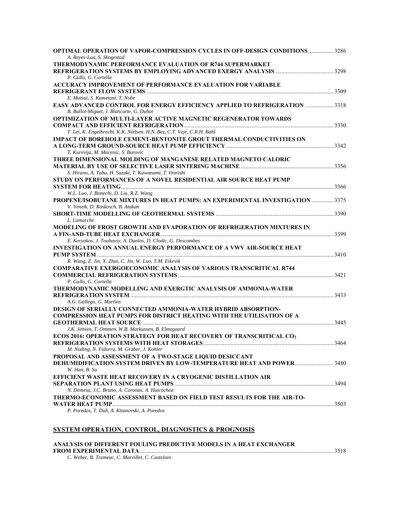| <b>OPTIMAL OPERATION OF VAPOR-COMPRESSION CYCLES IN OFF-DESIGN CONDITIONS 3286</b><br>A. Reyes-Lua, S. Skogestad |  |
|------------------------------------------------------------------------------------------------------------------|--|
| THERMODYNAMIC PERFORMANCE EVALUATION OF R744 SUPERMARKET                                                         |  |
|                                                                                                                  |  |
| P. Gullo, G. Cortella                                                                                            |  |
| <b>ACCURACY IMPROVEMENT OF PERFORMANCE EVALUATION FOR VARIABLE</b>                                               |  |
|                                                                                                                  |  |
| E. Matsui, S. Kametani, T. Nobe                                                                                  |  |
| <b>EASY ADVANCED CONTROL FOR ENERGY EFFICIENCY APPLIED TO REFRIGERATION 3318</b>                                 |  |
| B. Ballot-Miguet, J. Blancarte, G. Duhot                                                                         |  |
| <b>OPTIMIZATION OF MULTI-LAYER ACTIVE MAGNETIC REGENERATOR TOWARDS</b>                                           |  |
|                                                                                                                  |  |
| T. Lei, K. Engelbrecht, K.K. Nielsen, H.N. Bez, C.T. Veje, C.R.H. Bahl                                           |  |
| <b>IMPACT OF BOREHOLE CEMENT-BENTONITE GROUT THERMAL CONDUCTIVITIES ON</b>                                       |  |
|                                                                                                                  |  |
| T. Kurevija, M. Macenic, S. Borovic                                                                              |  |
| THREE DIMENSIONAL MOLDING OF MANGANESE RELATED MAGNETO CALORIC                                                   |  |
|                                                                                                                  |  |
| S. Hirano, A. Toba, H. Suzuki, T. Kawanami, T. Oonishi                                                           |  |
| STUDY ON PERFORMANCES OF A NOVEL RESIDENTIAL AIR SOURCE HEAT PUMP                                                |  |
| W.L. Luo, J. Bonechi, D. Liu, R.Z. Wang                                                                          |  |
| PROPENE/ISOBUTANE MIXTURES IN HEAT PUMPS: AN EXPERIMENTAL INVESTIGATION  3375                                    |  |
| V. Venzik, D. Roskosch, B. Atakan                                                                                |  |
|                                                                                                                  |  |
| L. Lamarche                                                                                                      |  |
| MODELING OF FROST GROWTH AND EVAPORATION OF REFRIGERATION MIXTURES IN                                            |  |
|                                                                                                                  |  |
| E. Keryakos, J. Toubassy, A. Danlos, D. Clodic, G. Descombes                                                     |  |
| <b>INVESTIGATION ON ANNUAL ENERGY PERFORMANCE OF A VWV AIR-SOURCE HEAT</b>                                       |  |
|                                                                                                                  |  |
| R. Wang, Z. Jin, X. Zhai, C. Jin, W. Luo, T.M. Eikevik                                                           |  |
| <b>COMPARATIVE EXERGOECONOMIC ANALYSIS OF VARIOUS TRANSCRITICAL R744</b>                                         |  |
|                                                                                                                  |  |
| P. Gullo, G. Cortella                                                                                            |  |
| THERMODYNAMIC MODELLING AND EXERGTIC ANALYSIS OF AMMONIA-WATER                                                   |  |
|                                                                                                                  |  |
| A.G. Gallego, G. Martins                                                                                         |  |
| DESIGN OF SERIALLY CONNECTED AMMONIA-WATER HYBRID ABSORPTION-                                                    |  |
| <b>COMPRESSION HEAT PUMPS FOR DISTRICT HEATING WITH THE UTILISATION OF A</b>                                     |  |
|                                                                                                                  |  |
| J.K. Jensen, T. Ommen, W.B. Markussen, B. Elmegaard                                                              |  |
| <b>ECOS 2016: OPERATION STRATEGY FOR HEAT RECOVERY OF TRANSCRITICAL CO2</b>                                      |  |
|                                                                                                                  |  |
| M. Noding, N. Fidorra, M. Graber, J. Kohler                                                                      |  |
| PROPOSAL AND ASSESSMENT OF A TWO-STAGE LIQUID DESICCANT                                                          |  |
| <b>DEHUMIDIFICATION SYSTEM DRIVEN BY LOW-TEMPERATURE HEAT AND POWER3480</b>                                      |  |
| W. Han, B. Su                                                                                                    |  |
| <b>EFFICIENT WASTE HEAT RECOVERY IN A CRYOGENIC DISTILLATION AIR</b>                                             |  |
|                                                                                                                  |  |
| N. Demesa, J.C. Bruno, A. Coronas, A. Huicochea                                                                  |  |
| THERMO-ECONOMIC ASSESSMENT BASED ON FIELD TEST RESULTS FOR THE AIR-TO-                                           |  |
|                                                                                                                  |  |
| P. Poredos, T. Duh, A. Kitanovski, A. Poredos                                                                    |  |

# **SYSTEM OPERATION, CONTROL, DIAGNOSTICS & PROGNOSIS**

| ANALYSIS OF DIFFERENT FOULING PREDICTIVE MODELS IN A HEAT EXCHANGER |  |
|---------------------------------------------------------------------|--|
|                                                                     |  |
| C. Weber, B. Tremeac, C. Marvillet, C. Castelain                    |  |